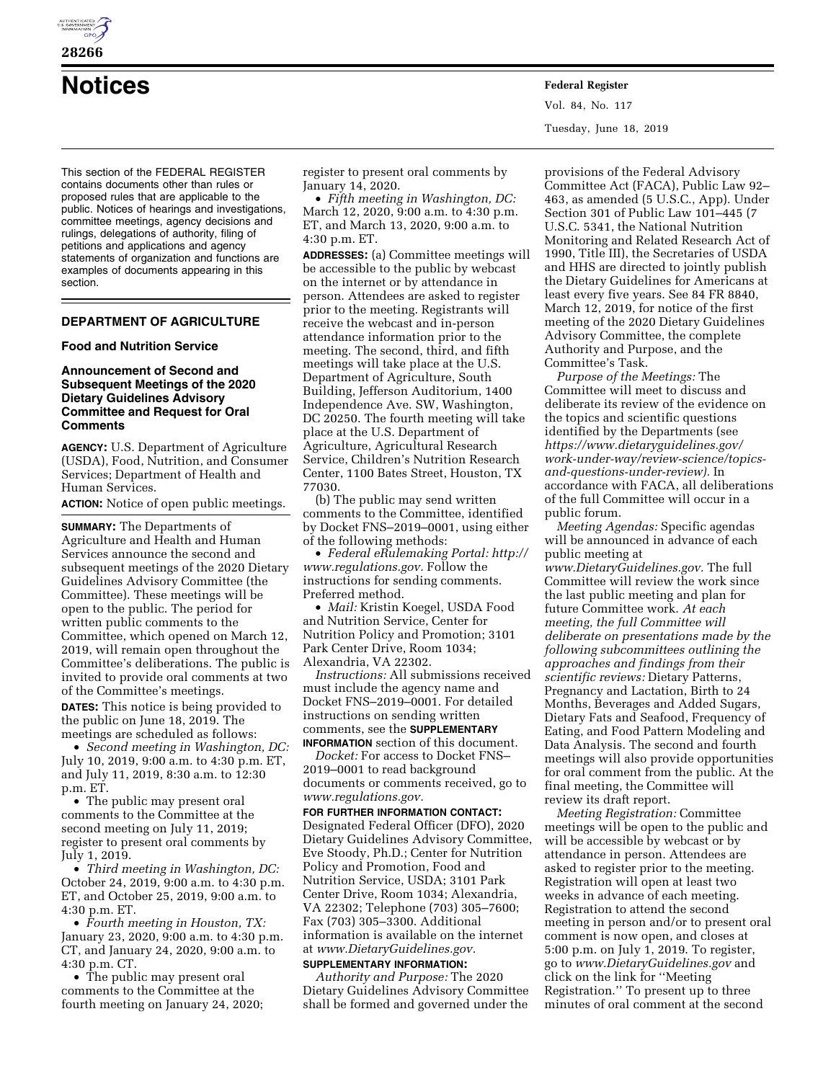

**28266** 

**Notices Federal Register**

This section of the FEDERAL REGISTER contains documents other than rules or proposed rules that are applicable to the public. Notices of hearings and investigations, committee meetings, agency decisions and rulings, delegations of authority, filing of petitions and applications and agency statements of organization and functions are examples of documents appearing in this section.

# **DEPARTMENT OF AGRICULTURE**

## **Food and Nutrition Service**

### **Announcement of Second and Subsequent Meetings of the 2020 Dietary Guidelines Advisory Committee and Request for Oral Comments**

**AGENCY:** U.S. Department of Agriculture (USDA), Food, Nutrition, and Consumer Services; Department of Health and Human Services.

**ACTION:** Notice of open public meetings.

**SUMMARY:** The Departments of Agriculture and Health and Human Services announce the second and subsequent meetings of the 2020 Dietary Guidelines Advisory Committee (the Committee). These meetings will be open to the public. The period for written public comments to the Committee, which opened on March 12, 2019, will remain open throughout the Committee's deliberations. The public is invited to provide oral comments at two of the Committee's meetings.

**DATES:** This notice is being provided to the public on June 18, 2019. The meetings are scheduled as follows:

• *Second meeting in Washington, DC:*  July 10, 2019, 9:00 a.m. to 4:30 p.m. ET, and July 11, 2019, 8:30 a.m. to 12:30 p.m. ET.

• The public may present oral comments to the Committee at the second meeting on July 11, 2019; register to present oral comments by July 1, 2019.

• *Third meeting in Washington, DC:*  October 24, 2019, 9:00 a.m. to 4:30 p.m. ET, and October 25, 2019, 9:00 a.m. to 4:30 p.m. ET.

• *Fourth meeting in Houston, TX:*  January 23, 2020, 9:00 a.m. to 4:30 p.m. CT, and January 24, 2020, 9:00 a.m. to 4:30 p.m. CT.

• The public may present oral comments to the Committee at the fourth meeting on January 24, 2020; register to present oral comments by January 14, 2020.

• *Fifth meeting in Washington, DC:*  March 12, 2020, 9:00 a.m. to 4:30 p.m. ET, and March 13, 2020, 9:00 a.m. to 4:30 p.m. ET.

**ADDRESSES:** (a) Committee meetings will be accessible to the public by webcast on the internet or by attendance in person. Attendees are asked to register prior to the meeting. Registrants will receive the webcast and in-person attendance information prior to the meeting. The second, third, and fifth meetings will take place at the U.S. Department of Agriculture, South Building, Jefferson Auditorium, 1400 Independence Ave. SW, Washington, DC 20250. The fourth meeting will take place at the U.S. Department of Agriculture, Agricultural Research Service, Children's Nutrition Research Center, 1100 Bates Street, Houston, TX 77030.

(b) The public may send written comments to the Committee, identified by Docket FNS–2019–0001, using either of the following methods:

• *Federal eRulemaking Portal: http:// www.regulations.gov.* Follow the instructions for sending comments. Preferred method.

• *Mail:* Kristin Koegel, USDA Food and Nutrition Service, Center for Nutrition Policy and Promotion; 3101 Park Center Drive, Room 1034; Alexandria, VA 22302.

*Instructions:* All submissions received must include the agency name and Docket FNS–2019–0001. For detailed instructions on sending written comments, see the **SUPPLEMENTARY INFORMATION** section of this document.

*Docket:* For access to Docket FNS– 2019–0001 to read background documents or comments received, go to *www.regulations.gov.* 

**FOR FURTHER INFORMATION CONTACT:**  Designated Federal Officer (DFO), 2020 Dietary Guidelines Advisory Committee, Eve Stoody, Ph.D.; Center for Nutrition Policy and Promotion, Food and Nutrition Service, USDA; 3101 Park Center Drive, Room 1034; Alexandria, VA 22302; Telephone (703) 305–7600; Fax (703) 305–3300. Additional information is available on the internet at *www.DietaryGuidelines.gov.* 

#### **SUPPLEMENTARY INFORMATION:**

*Authority and Purpose:* The 2020 Dietary Guidelines Advisory Committee shall be formed and governed under the

provisions of the Federal Advisory Committee Act (FACA), Public Law 92– 463, as amended (5 U.S.C., App). Under Section 301 of Public Law 101–445 (7 U.S.C. 5341, the National Nutrition Monitoring and Related Research Act of 1990, Title III), the Secretaries of USDA and HHS are directed to jointly publish the Dietary Guidelines for Americans at least every five years. See 84 FR 8840, March 12, 2019, for notice of the first meeting of the 2020 Dietary Guidelines Advisory Committee, the complete Authority and Purpose, and the Committee's Task.

*Purpose of the Meetings:* The Committee will meet to discuss and deliberate its review of the evidence on the topics and scientific questions identified by the Departments (see *https://www.dietaryguidelines.gov/ work-under-way/review-science/topicsand-questions-under-review).* In accordance with FACA, all deliberations of the full Committee will occur in a public forum.

*Meeting Agendas:* Specific agendas will be announced in advance of each public meeting at *www.DietaryGuidelines.gov.* The full Committee will review the work since the last public meeting and plan for future Committee work. *At each meeting, the full Committee will deliberate on presentations made by the following subcommittees outlining the approaches and findings from their scientific reviews:* Dietary Patterns, Pregnancy and Lactation, Birth to 24 Months, Beverages and Added Sugars, Dietary Fats and Seafood, Frequency of Eating, and Food Pattern Modeling and Data Analysis. The second and fourth meetings will also provide opportunities for oral comment from the public. At the final meeting, the Committee will review its draft report.

*Meeting Registration:* Committee meetings will be open to the public and will be accessible by webcast or by attendance in person. Attendees are asked to register prior to the meeting. Registration will open at least two weeks in advance of each meeting. Registration to attend the second meeting in person and/or to present oral comment is now open, and closes at 5:00 p.m. on July 1, 2019. To register, go to *www.DietaryGuidelines.gov* and click on the link for ''Meeting Registration.'' To present up to three minutes of oral comment at the second